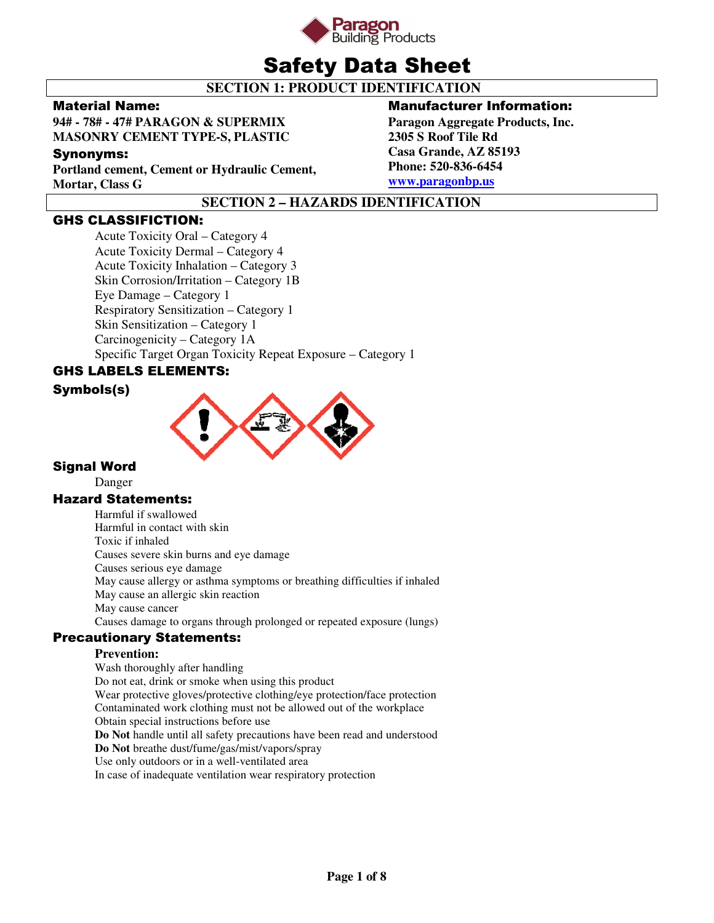

# Safety Data Sheet

# **SECTION 1: PRODUCT IDENTIFICATION**

# Material Name:

**94# - 78# - 47# PARAGON & SUPERMIX MASONRY CEMENT TYPE-S, PLASTIC** 

# Synonyms:

**Portland cement, Cement or Hydraulic Cement, Mortar, Class G** 

# Manufacturer Information:

**Paragon Aggregate Products, Inc. 2305 S Roof Tile Rd Casa Grande, AZ 85193 Phone: 520-836-6454 www.paragonbp.us**

# **SECTION 2 – HAZARDS IDENTIFICATION**

# GHS CLASSIFICTION:

Acute Toxicity Oral – Category 4 Acute Toxicity Dermal – Category 4 Acute Toxicity Inhalation – Category 3 Skin Corrosion/Irritation – Category 1B Eye Damage – Category 1 Respiratory Sensitization – Category 1 Skin Sensitization – Category 1 Carcinogenicity – Category 1A Specific Target Organ Toxicity Repeat Exposure – Category 1

# GHS LABELS ELEMENTS:

# Symbols(s)



# Signal Word

Danger

# Hazard Statements:

Harmful if swallowed Harmful in contact with skin Toxic if inhaled Causes severe skin burns and eye damage Causes serious eye damage May cause allergy or asthma symptoms or breathing difficulties if inhaled May cause an allergic skin reaction May cause cancer Causes damage to organs through prolonged or repeated exposure (lungs)

# Precautionary Statements:

# **Prevention:**

Wash thoroughly after handling Do not eat, drink or smoke when using this product Wear protective gloves/protective clothing/eye protection/face protection Contaminated work clothing must not be allowed out of the workplace Obtain special instructions before use **Do Not** handle until all safety precautions have been read and understood **Do Not** breathe dust/fume/gas/mist/vapors/spray Use only outdoors or in a well-ventilated area In case of inadequate ventilation wear respiratory protection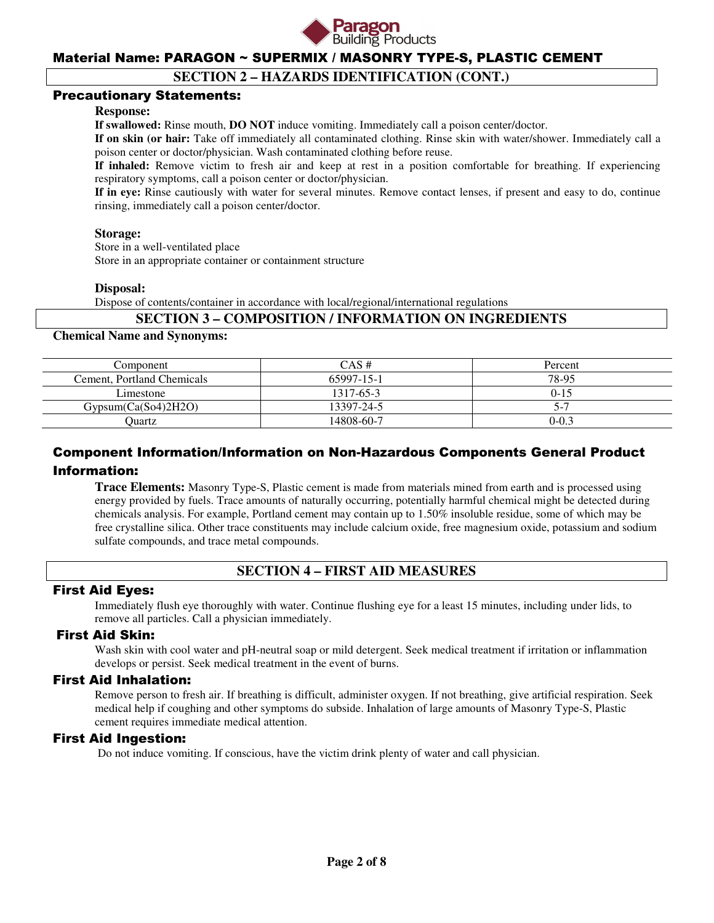

# **SECTION 2 – HAZARDS IDENTIFICATION (CONT.)**

### Precautionary Statements:

#### **Response:**

**If swallowed:** Rinse mouth, **DO NOT** induce vomiting. Immediately call a poison center/doctor.

**If on skin (or hair:** Take off immediately all contaminated clothing. Rinse skin with water/shower. Immediately call a poison center or doctor/physician. Wash contaminated clothing before reuse.

**If inhaled:** Remove victim to fresh air and keep at rest in a position comfortable for breathing. If experiencing respiratory symptoms, call a poison center or doctor/physician.

**If in eye:** Rinse cautiously with water for several minutes. Remove contact lenses, if present and easy to do, continue rinsing, immediately call a poison center/doctor.

#### **Storage:**

 Store in a well-ventilated place Store in an appropriate container or containment structure

#### **Disposal:**

Dispose of contents/container in accordance with local/regional/international regulations

### **SECTION 3 – COMPOSITION / INFORMATION ON INGREDIENTS**

#### **Chemical Name and Synonyms:**

| Component                  | $CAS \#$   | Percent   |
|----------------------------|------------|-----------|
| Cement, Portland Chemicals | 65997-15-1 | 78-95     |
| Limestone                  | 1317-65-3  | $0 - 15$  |
| Gypsum(Ca(So4)2H2O)        | 13397-24-5 |           |
| Ouartz                     | 14808-60-7 | $0 - 0.3$ |

# Component Information/Information on Non-Hazardous Components General Product Information:

**Trace Elements:** Masonry Type-S, Plastic cement is made from materials mined from earth and is processed using energy provided by fuels. Trace amounts of naturally occurring, potentially harmful chemical might be detected during chemicals analysis. For example, Portland cement may contain up to 1.50% insoluble residue, some of which may be free crystalline silica. Other trace constituents may include calcium oxide, free magnesium oxide, potassium and sodium sulfate compounds, and trace metal compounds.

# **SECTION 4 – FIRST AID MEASURES**

#### First Aid Eyes:

Immediately flush eye thoroughly with water. Continue flushing eye for a least 15 minutes, including under lids, to remove all particles. Call a physician immediately.

# First Aid Skin:

Wash skin with cool water and pH-neutral soap or mild detergent. Seek medical treatment if irritation or inflammation develops or persist. Seek medical treatment in the event of burns.

#### First Aid Inhalation:

Remove person to fresh air. If breathing is difficult, administer oxygen. If not breathing, give artificial respiration. Seek medical help if coughing and other symptoms do subside. Inhalation of large amounts of Masonry Type-S, Plastic cement requires immediate medical attention.

#### First Aid Ingestion:

Do not induce vomiting. If conscious, have the victim drink plenty of water and call physician.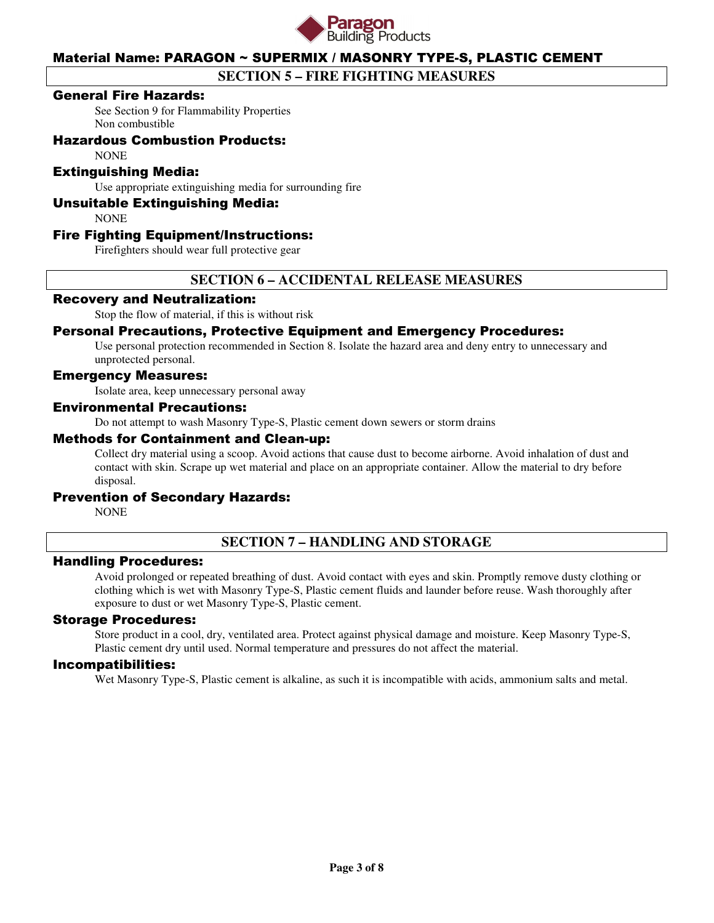

# **SECTION 5 – FIRE FIGHTING MEASURES**

### General Fire Hazards:

See Section 9 for Flammability Properties Non combustible

# Hazardous Combustion Products:

**NONE** 

# Extinguishing Media:

Use appropriate extinguishing media for surrounding fire

### Unsuitable Extinguishing Media:

**NONE** 

### Fire Fighting Equipment/Instructions:

Firefighters should wear full protective gear

# **SECTION 6 – ACCIDENTAL RELEASE MEASURES**

# Recovery and Neutralization:

Stop the flow of material, if this is without risk

### Personal Precautions, Protective Equipment and Emergency Procedures:

Use personal protection recommended in Section 8. Isolate the hazard area and deny entry to unnecessary and unprotected personal.

#### Emergency Measures:

Isolate area, keep unnecessary personal away

#### Environmental Precautions:

Do not attempt to wash Masonry Type-S, Plastic cement down sewers or storm drains

#### Methods for Containment and Clean-up:

Collect dry material using a scoop. Avoid actions that cause dust to become airborne. Avoid inhalation of dust and contact with skin. Scrape up wet material and place on an appropriate container. Allow the material to dry before disposal.

#### Prevention of Secondary Hazards:

NONE

# **SECTION 7 – HANDLING AND STORAGE**

#### Handling Procedures:

Avoid prolonged or repeated breathing of dust. Avoid contact with eyes and skin. Promptly remove dusty clothing or clothing which is wet with Masonry Type-S, Plastic cement fluids and launder before reuse. Wash thoroughly after exposure to dust or wet Masonry Type-S, Plastic cement.

#### Storage Procedures:

Store product in a cool, dry, ventilated area. Protect against physical damage and moisture. Keep Masonry Type-S, Plastic cement dry until used. Normal temperature and pressures do not affect the material.

#### Incompatibilities:

Wet Masonry Type-S, Plastic cement is alkaline, as such it is incompatible with acids, ammonium salts and metal.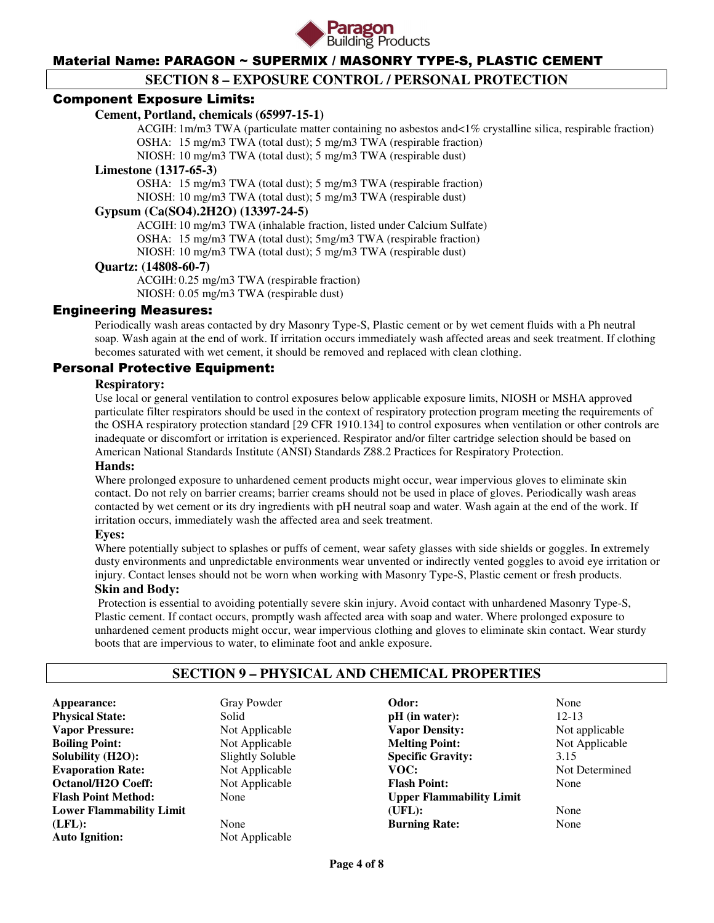

# **SECTION 8 – EXPOSURE CONTROL / PERSONAL PROTECTION**

### Component Exposure Limits:

#### **Cement, Portland, chemicals (65997-15-1)**

 ACGIH: 1m/m3 TWA (particulate matter containing no asbestos and<1% crystalline silica, respirable fraction) OSHA: 15 mg/m3 TWA (total dust); 5 mg/m3 TWA (respirable fraction)

NIOSH: 10 mg/m3 TWA (total dust); 5 mg/m3 TWA (respirable dust)

#### **Limestone (1317-65-3)**

 OSHA: 15 mg/m3 TWA (total dust); 5 mg/m3 TWA (respirable fraction) NIOSH: 10 mg/m3 TWA (total dust); 5 mg/m3 TWA (respirable dust)

# **Gypsum (Ca(SO4).2H2O) (13397-24-5)**

 ACGIH: 10 mg/m3 TWA (inhalable fraction, listed under Calcium Sulfate) OSHA: 15 mg/m3 TWA (total dust); 5mg/m3 TWA (respirable fraction) NIOSH: 10 mg/m3 TWA (total dust); 5 mg/m3 TWA (respirable dust)

#### **Quartz: (14808-60-7)**

 ACGIH: 0.25 mg/m3 TWA (respirable fraction) NIOSH: 0.05 mg/m3 TWA (respirable dust)

### Engineering Measures:

Periodically wash areas contacted by dry Masonry Type-S, Plastic cement or by wet cement fluids with a Ph neutral soap. Wash again at the end of work. If irritation occurs immediately wash affected areas and seek treatment. If clothing becomes saturated with wet cement, it should be removed and replaced with clean clothing.

### Personal Protective Equipment:

#### **Respiratory:**

Use local or general ventilation to control exposures below applicable exposure limits, NIOSH or MSHA approved particulate filter respirators should be used in the context of respiratory protection program meeting the requirements of the OSHA respiratory protection standard [29 CFR 1910.134] to control exposures when ventilation or other controls are inadequate or discomfort or irritation is experienced. Respirator and/or filter cartridge selection should be based on American National Standards Institute (ANSI) Standards Z88.2 Practices for Respiratory Protection.

#### **Hands:**

Where prolonged exposure to unhardened cement products might occur, wear impervious gloves to eliminate skin contact. Do not rely on barrier creams; barrier creams should not be used in place of gloves. Periodically wash areas contacted by wet cement or its dry ingredients with pH neutral soap and water. Wash again at the end of the work. If irritation occurs, immediately wash the affected area and seek treatment.

#### **Eyes:**

Where potentially subject to splashes or puffs of cement, wear safety glasses with side shields or goggles. In extremely dusty environments and unpredictable environments wear unvented or indirectly vented goggles to avoid eye irritation or injury. Contact lenses should not be worn when working with Masonry Type-S, Plastic cement or fresh products.

### **Skin and Body:**

Protection is essential to avoiding potentially severe skin injury. Avoid contact with unhardened Masonry Type-S, Plastic cement. If contact occurs, promptly wash affected area with soap and water. Where prolonged exposure to unhardened cement products might occur, wear impervious clothing and gloves to eliminate skin contact. Wear sturdy boots that are impervious to water, to eliminate foot and ankle exposure.

# **SECTION 9 – PHYSICAL AND CHEMICAL PROPERTIES**

**Appearance:** Gray Powder **Physical State:** Solid **Vapor Pressure:** Not Applicable **Boiling Point:** Not Applicable **Solubility (H2O):** Slightly Soluble **Evaporation Rate:** Not Applicable **Octanol/H2O Coeff:** Not Applicable **Flash Point Method:** None **Lower Flammability Limit (LFL):** None **Auto Ignition:** Not Applicable

**Odor:** None **pH** (in water): 12-13 **Vapor Density:** Not applicable **Melting Point:** Not Applicable **Specific Gravity:** 3.15<br> **VOC:** Not 1 **Flash Point:** None **Upper Flammability Limit (UFL):** None **Burning Rate:** None

**Not Determined**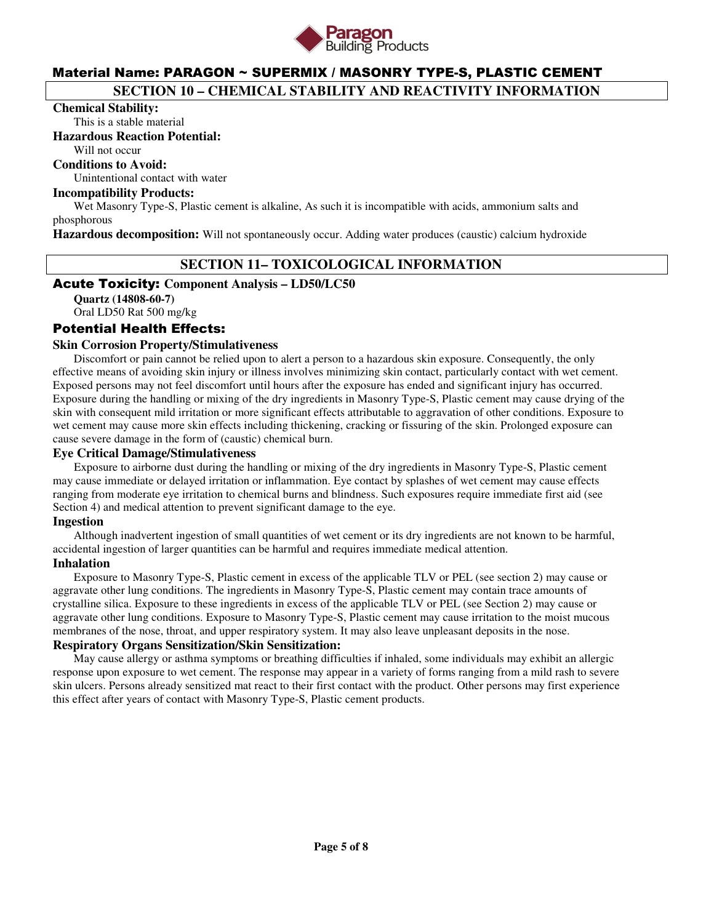

# **SECTION 10 – CHEMICAL STABILITY AND REACTIVITY INFORMATION**

#### **Chemical Stability:**

This is a stable material

#### **Hazardous Reaction Potential:**

Will not occur

# **Conditions to Avoid:**

Unintentional contact with water

### **Incompatibility Products:**

Wet Masonry Type-S, Plastic cement is alkaline, As such it is incompatible with acids, ammonium salts and phosphorous

**Hazardous decomposition:** Will not spontaneously occur. Adding water produces (caustic) calcium hydroxide

# **SECTION 11– TOXICOLOGICAL INFORMATION**

#### Acute Toxicity: **Component Analysis – LD50/LC50**

**Quartz (14808-60-7)**  Oral LD50 Rat 500 mg/kg

#### Potential Health Effects:

#### **Skin Corrosion Property/Stimulativeness**

 Discomfort or pain cannot be relied upon to alert a person to a hazardous skin exposure. Consequently, the only effective means of avoiding skin injury or illness involves minimizing skin contact, particularly contact with wet cement. Exposed persons may not feel discomfort until hours after the exposure has ended and significant injury has occurred. Exposure during the handling or mixing of the dry ingredients in Masonry Type-S, Plastic cement may cause drying of the skin with consequent mild irritation or more significant effects attributable to aggravation of other conditions. Exposure to wet cement may cause more skin effects including thickening, cracking or fissuring of the skin. Prolonged exposure can cause severe damage in the form of (caustic) chemical burn.

#### **Eye Critical Damage/Stimulativeness**

 Exposure to airborne dust during the handling or mixing of the dry ingredients in Masonry Type-S, Plastic cement may cause immediate or delayed irritation or inflammation. Eye contact by splashes of wet cement may cause effects ranging from moderate eye irritation to chemical burns and blindness. Such exposures require immediate first aid (see Section 4) and medical attention to prevent significant damage to the eye.

#### **Ingestion**

 Although inadvertent ingestion of small quantities of wet cement or its dry ingredients are not known to be harmful, accidental ingestion of larger quantities can be harmful and requires immediate medical attention.

### **Inhalation**

 Exposure to Masonry Type-S, Plastic cement in excess of the applicable TLV or PEL (see section 2) may cause or aggravate other lung conditions. The ingredients in Masonry Type-S, Plastic cement may contain trace amounts of crystalline silica. Exposure to these ingredients in excess of the applicable TLV or PEL (see Section 2) may cause or aggravate other lung conditions. Exposure to Masonry Type-S, Plastic cement may cause irritation to the moist mucous membranes of the nose, throat, and upper respiratory system. It may also leave unpleasant deposits in the nose.

# **Respiratory Organs Sensitization/Skin Sensitization:**

 May cause allergy or asthma symptoms or breathing difficulties if inhaled, some individuals may exhibit an allergic response upon exposure to wet cement. The response may appear in a variety of forms ranging from a mild rash to severe skin ulcers. Persons already sensitized mat react to their first contact with the product. Other persons may first experience this effect after years of contact with Masonry Type-S, Plastic cement products.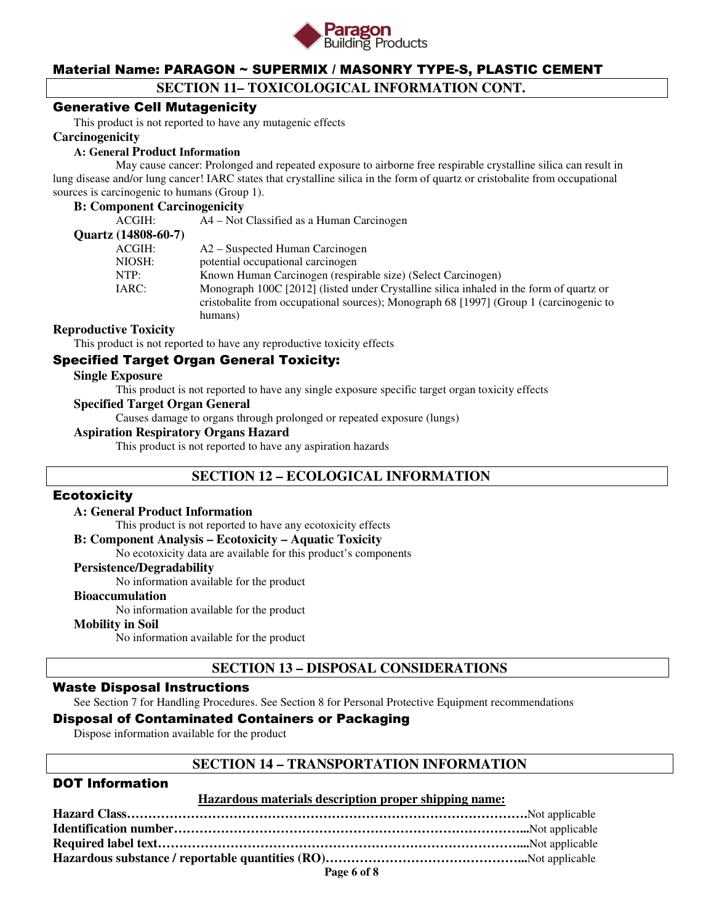

# **SECTION 11– TOXICOLOGICAL INFORMATION CONT.**

# Generative Cell Mutagenicity

This product is not reported to have any mutagenic effects

#### **Carcinogenicity**

#### **A: General Product Information**

May cause cancer: Prolonged and repeated exposure to airborne free respirable crystalline silica can result in lung disease and/or lung cancer! IARC states that crystalline silica in the form of quartz or cristobalite from occupational sources is carcinogenic to humans (Group 1).

#### **B: Component Carcinogenicity**

| ACGIH:              | A4 – Not Classified as a Human Carcinogen                                               |
|---------------------|-----------------------------------------------------------------------------------------|
| Quartz (14808-60-7) |                                                                                         |
| ACGIH:              | A2 – Suspected Human Carcinogen                                                         |
| NIOSH:              | potential occupational carcinogen                                                       |
| NTP:                | Known Human Carcinogen (respirable size) (Select Carcinogen)                            |
| IARC:               | Monograph 100C [2012] (listed under Crystalline silica inhaled in the form of quartz or |
|                     | cristobalite from occupational sources); Monograph 68 [1997] (Group 1 (carcinogenic to  |
|                     | humans)                                                                                 |
|                     |                                                                                         |

#### **Reproductive Toxicity**

This product is not reported to have any reproductive toxicity effects

# Specified Target Organ General Toxicity:

#### **Single Exposure**

This product is not reported to have any single exposure specific target organ toxicity effects

### **Specified Target Organ General**

Causes damage to organs through prolonged or repeated exposure (lungs)

### **Aspiration Respiratory Organs Hazard**

This product is not reported to have any aspiration hazards

# **SECTION 12 – ECOLOGICAL INFORMATION**

#### **Ecotoxicity**

#### **A: General Product Information**

This product is not reported to have any ecotoxicity effects

#### **B: Component Analysis – Ecotoxicity – Aquatic Toxicity**

No ecotoxicity data are available for this product's components

#### **Persistence/Degradability**

No information available for the product

#### **Bioaccumulation**

No information available for the product

#### **Mobility in Soil**

No information available for the product

# **SECTION 13 – DISPOSAL CONSIDERATIONS**

#### Waste Disposal Instructions

See Section 7 for Handling Procedures. See Section 8 for Personal Protective Equipment recommendations

# Disposal of Contaminated Containers or Packaging

Dispose information available for the product

### **SECTION 14 – TRANSPORTATION INFORMATION**

# DOT Information

#### **Hazardous materials description proper shipping name:**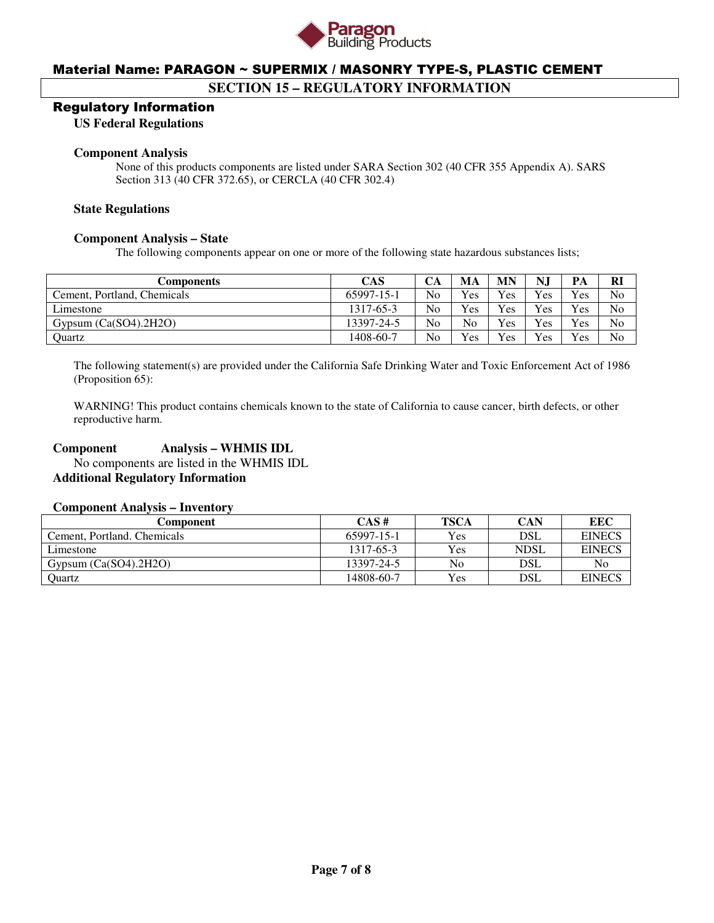

# **SECTION 15 – REGULATORY INFORMATION**

#### Regulatory Information

**US Federal Regulations** 

#### **Component Analysis**

None of this products components are listed under SARA Section 302 (40 CFR 355 Appendix A). SARS Section 313 (40 CFR 372.65), or CERCLA (40 CFR 302.4)

#### **State Regulations**

#### **Component Analysis – State**

The following components appear on one or more of the following state hazardous substances lists;

| Components                  | <b>CAS</b> | CА             | MA             | MN  | N.  | PА  | <b>R</b>       |
|-----------------------------|------------|----------------|----------------|-----|-----|-----|----------------|
| Cement, Portland, Chemicals | 65997-15-1 | N <sub>0</sub> | <b>Yes</b>     | Yes | Yes | Yes | N <sub>0</sub> |
| Limestone                   | 1317-65-3  | N <sub>0</sub> | <b>Yes</b>     | Yes | Yes | Yes | No             |
| Gypsum $(Ca(SO4).2H2O)$     | 13397-24-5 | N <sub>o</sub> | N <sub>o</sub> | Yes | Yes | Yes | No             |
| Ouartz                      | 1408-60-7  | No             | <b>Yes</b>     | Yes | Yes | Yes | N <sub>0</sub> |

The following statement(s) are provided under the California Safe Drinking Water and Toxic Enforcement Act of 1986 (Proposition 65):

WARNING! This product contains chemicals known to the state of California to cause cancer, birth defects, or other reproductive harm.

### **Component Analysis – WHMIS IDL**

 No components are listed in the WHMIS IDL **Additional Regulatory Information** 

#### **Component Analysis – Inventory**

| Component                   | CAS#       | <b>TSCA</b> | CAN         | EEC           |
|-----------------------------|------------|-------------|-------------|---------------|
| Cement, Portland, Chemicals | 65997-15-1 | <b>Yes</b>  | DSL         | <b>EINECS</b> |
| Limestone                   | 1317-65-3  | <b>Yes</b>  | <b>NDSL</b> | <b>EINECS</b> |
| Gypsum $(Ca(SO4), 2H2O)$    | 13397-24-5 | No          | DSL         | No            |
| Ouartz                      | 14808-60-7 | <b>Yes</b>  | DSL         | <b>EINECS</b> |